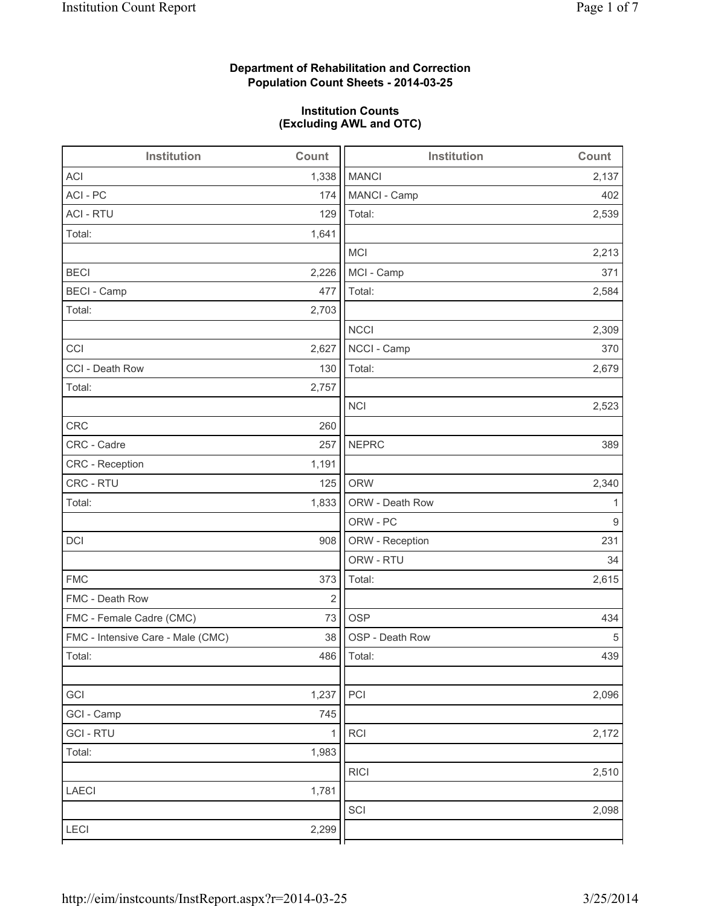# **Department of Rehabilitation and Correction Population Count Sheets - 2014-03-25**

# **Institution Counts (Excluding AWL and OTC)**

| Institution                       | Count      | <b>Institution</b> | Count |
|-----------------------------------|------------|--------------------|-------|
| <b>ACI</b>                        | 1,338      | <b>MANCI</b>       | 2,137 |
| ACI - PC                          | 174        | MANCI - Camp       | 402   |
| <b>ACI - RTU</b>                  | 129        | Total:             | 2,539 |
| Total:                            | 1,641      |                    |       |
|                                   |            | <b>MCI</b>         | 2,213 |
| <b>BECI</b>                       | 2,226      | MCI - Camp         | 371   |
| <b>BECI - Camp</b>                | 477        | Total:             | 2,584 |
| Total:                            | 2,703      |                    |       |
|                                   |            | <b>NCCI</b>        | 2,309 |
| CCI                               | 2,627      | NCCI - Camp        | 370   |
| CCI - Death Row                   | 130        | Total:             | 2,679 |
| Total:                            | 2,757      |                    |       |
|                                   |            | <b>NCI</b>         | 2,523 |
| <b>CRC</b>                        | 260        |                    |       |
| CRC - Cadre                       | 257        | <b>NEPRC</b>       | 389   |
| CRC - Reception                   | 1,191      |                    |       |
| CRC - RTU                         | 125        | <b>ORW</b>         | 2,340 |
| Total:                            | 1,833      | ORW - Death Row    | 1     |
|                                   |            | ORW - PC           | 9     |
| DCI                               | 908        | ORW - Reception    | 231   |
|                                   |            | ORW - RTU          | 34    |
| <b>FMC</b>                        | 373        | Total:             | 2,615 |
| FMC - Death Row                   | $\sqrt{2}$ |                    |       |
| FMC - Female Cadre (CMC)          | 73         | <b>OSP</b>         | 434   |
| FMC - Intensive Care - Male (CMC) | 38         | OSP - Death Row    | 5     |
| Total:                            |            | 486   Total:       | 439   |
|                                   |            |                    |       |
| GCI                               | 1,237      | PCI                | 2,096 |
| GCI - Camp                        | 745        |                    |       |
| <b>GCI-RTU</b>                    | 1          | RCI                | 2,172 |
| Total:                            | 1,983      |                    |       |
|                                   |            | <b>RICI</b>        | 2,510 |
| LAECI                             | 1,781      |                    |       |
|                                   |            | SCI                | 2,098 |
| LECI                              | 2,299      |                    |       |
|                                   |            |                    |       |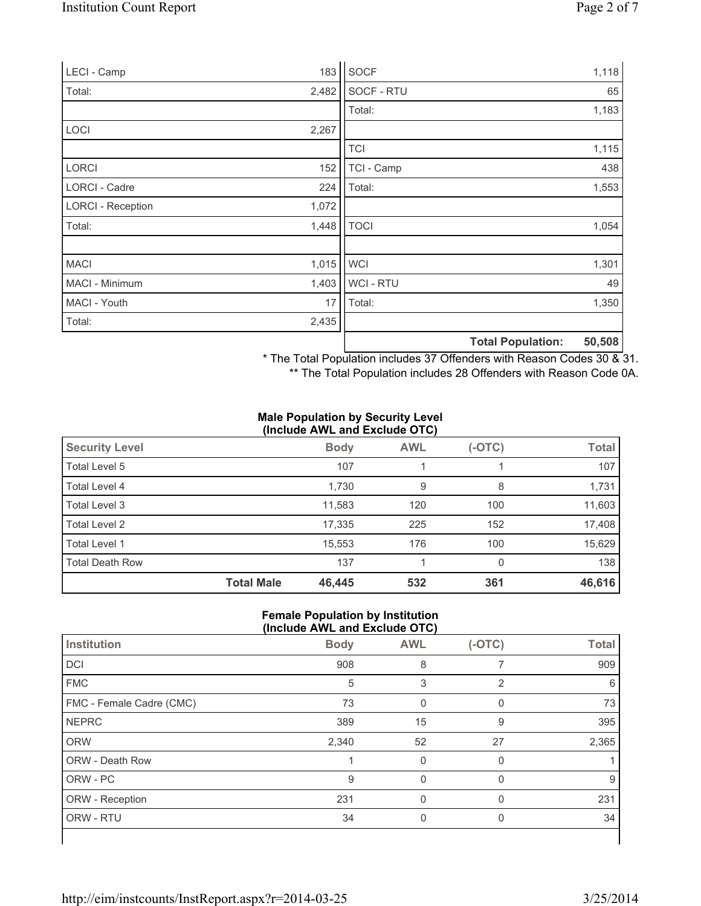| LECI - Camp              | 183   | SOCF        |                          | 1,118  |
|--------------------------|-------|-------------|--------------------------|--------|
| Total:                   | 2,482 | SOCF - RTU  |                          | 65     |
|                          |       | Total:      |                          | 1,183  |
| <b>LOCI</b>              | 2,267 |             |                          |        |
|                          |       | <b>TCI</b>  |                          | 1,115  |
| <b>LORCI</b>             | 152   | TCI - Camp  |                          | 438    |
| LORCI - Cadre            | 224   | Total:      |                          | 1,553  |
| <b>LORCI - Reception</b> | 1,072 |             |                          |        |
| Total:                   | 1,448 | <b>TOCI</b> |                          | 1,054  |
|                          |       |             |                          |        |
| <b>MACI</b>              | 1,015 | <b>WCI</b>  |                          | 1,301  |
| MACI - Minimum           | 1,403 | WCI - RTU   |                          | 49     |
| MACI - Youth             | 17    | Total:      |                          | 1,350  |
| Total:                   | 2,435 |             |                          |        |
|                          |       |             | <b>Total Population:</b> | 50,508 |

\* The Total Population includes 37 Offenders with Reason Codes 30 & 31.

\*\* The Total Population includes 28 Offenders with Reason Code 0A.

#### **Male Population by Security Level (Include AWL and Exclude OTC)**

| <b>Security Level</b>  |                   | <b>Body</b> | <b>AWL</b> | $(-OTC)$ | <b>Total</b> |  |
|------------------------|-------------------|-------------|------------|----------|--------------|--|
| Total Level 5          |                   | 107         |            |          | 107          |  |
| Total Level 4          |                   | 1,730       | 9          | 8        | 1,731        |  |
| Total Level 3          |                   | 11,583      | 120        | 100      | 11,603       |  |
| Total Level 2          |                   | 17,335      | 225        | 152      | 17,408       |  |
| Total Level 1          |                   | 15,553      | 176        | 100      | 15,629       |  |
| <b>Total Death Row</b> |                   | 137         |            | 0        | 138          |  |
|                        | <b>Total Male</b> | 46,445      | 532        | 361      | 46,616       |  |

#### **Female Population by Institution (Include AWL and Exclude OTC)**

|                          | $1.31$ and $1.11$ and $2.31$ and $3.51$ and $3.51$ and $3.51$ |            |          |              |
|--------------------------|---------------------------------------------------------------|------------|----------|--------------|
| Institution              | <b>Body</b>                                                   | <b>AWL</b> | $(-OTC)$ | <b>Total</b> |
| DCI                      | 908                                                           | 8          |          | 909          |
| <b>FMC</b>               | 5                                                             | 3          | 2        | 6            |
| FMC - Female Cadre (CMC) | 73                                                            | O          | 0        | 73           |
| <b>NEPRC</b>             | 389                                                           | 15         | 9        | 395          |
| <b>ORW</b>               | 2,340                                                         | 52         | 27       | 2,365        |
| <b>ORW - Death Row</b>   |                                                               | 0          | 0        |              |
| ORW - PC                 | 9                                                             | $\Omega$   | 0        | 9            |
| ORW - Reception          | 231                                                           | 0          | $\Omega$ | 231          |
| ORW - RTU                | 34                                                            | 0          | 0        | 34           |
|                          |                                                               |            |          |              |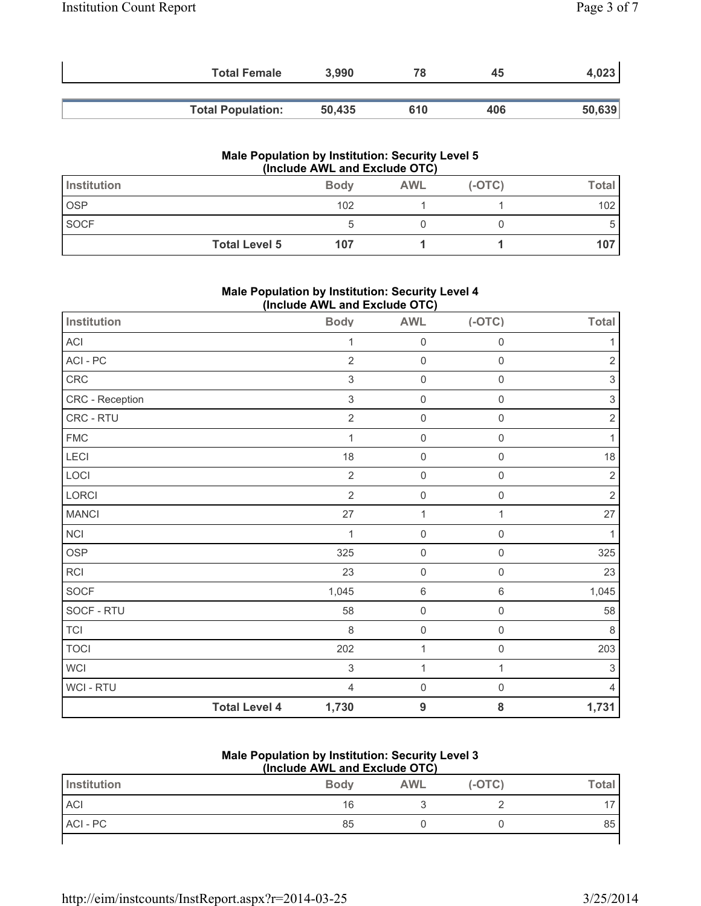| <b>Total Female</b>      | 3,990  | 78  | 45  | 4,023  |
|--------------------------|--------|-----|-----|--------|
| <b>Total Population:</b> | 50.435 | 610 | 406 | 50,639 |

## **Male Population by Institution: Security Level 5 (Include AWL and Exclude OTC)**

| Institution          | <b>Body</b> | <b>AWL</b> | $(-OTC)$ | Total |
|----------------------|-------------|------------|----------|-------|
| <b>OSP</b>           | 102         |            |          | 102   |
| <b>SOCF</b>          |             |            |          | C.    |
| <b>Total Level 5</b> | 107         |            |          | 107   |

## **Male Population by Institution: Security Level 4 (Include AWL and Exclude OTC)**

| Institution            |                      | <b>Body</b>               | - - - ,<br><b>AWL</b> | $(-OTC)$            | <b>Total</b>              |
|------------------------|----------------------|---------------------------|-----------------------|---------------------|---------------------------|
| ACI                    |                      | 1                         | $\mathsf 0$           | $\mathbf 0$         | 1                         |
| $\sf{ACI}$ - $\sf{PC}$ |                      | $\overline{2}$            | $\mathsf{O}\xspace$   | $\mathbf 0$         | $\mathbf 2$               |
| CRC                    |                      | 3                         | $\mathsf{O}\xspace$   | $\mathbf 0$         | 3                         |
| CRC - Reception        |                      | $\ensuremath{\mathsf{3}}$ | $\mathsf{O}\xspace$   | $\mathsf{O}\xspace$ | $\ensuremath{\mathsf{3}}$ |
| CRC - RTU              |                      | $\overline{2}$            | $\mathbf 0$           | $\mathbf 0$         | $\mathbf 2$               |
| <b>FMC</b>             |                      | 1                         | $\mathsf{O}\xspace$   | $\mathsf{O}\xspace$ | 1                         |
| LECI                   |                      | 18                        | $\mathsf 0$           | $\mathbf 0$         | 18                        |
| LOCI                   |                      | $\overline{2}$            | $\mathsf{O}\xspace$   | $\mathbf 0$         | $\overline{2}$            |
| LORCI                  |                      | $\overline{2}$            | $\mathsf{O}\xspace$   | $\mathsf{O}\xspace$ | $\overline{2}$            |
| <b>MANCI</b>           |                      | 27                        | 1                     | $\mathbf{1}$        | 27                        |
| <b>NCI</b>             |                      | 1                         | $\mathsf{O}\xspace$   | $\mathbf 0$         |                           |
| <b>OSP</b>             |                      | 325                       | $\mathsf 0$           | $\mathbf 0$         | 325                       |
| <b>RCI</b>             |                      | 23                        | $\mathsf{O}\xspace$   | $\mathsf{O}\xspace$ | 23                        |
| SOCF                   |                      | 1,045                     | $\,6\,$               | $\,6\,$             | 1,045                     |
| SOCF - RTU             |                      | 58                        | $\mathsf{O}\xspace$   | $\mathsf{O}\xspace$ | 58                        |
| <b>TCI</b>             |                      | 8                         | $\mathsf{O}\xspace$   | $\mathbf 0$         | 8                         |
| <b>TOCI</b>            |                      | 202                       | $\mathbf 1$           | $\mathbf 0$         | 203                       |
| <b>WCI</b>             |                      | 3                         | $\mathbf 1$           | 1                   | $\mathfrak{S}$            |
| WCI - RTU              |                      | $\overline{4}$            | $\mathsf{O}\xspace$   | $\mathsf{O}\xspace$ | 4                         |
|                        | <b>Total Level 4</b> | 1,730                     | 9                     | 8                   | 1,731                     |

#### **Male Population by Institution: Security Level 3 (Include AWL and Exclude OTC)**

| Institution | <b>Body</b> | <b>AWL</b> | $(-OTC)$ | <b>Total</b> |
|-------------|-------------|------------|----------|--------------|
| <b>ACI</b>  | 16          |            |          |              |
| ACI - PC    | 85          |            |          | 85           |
|             |             |            |          |              |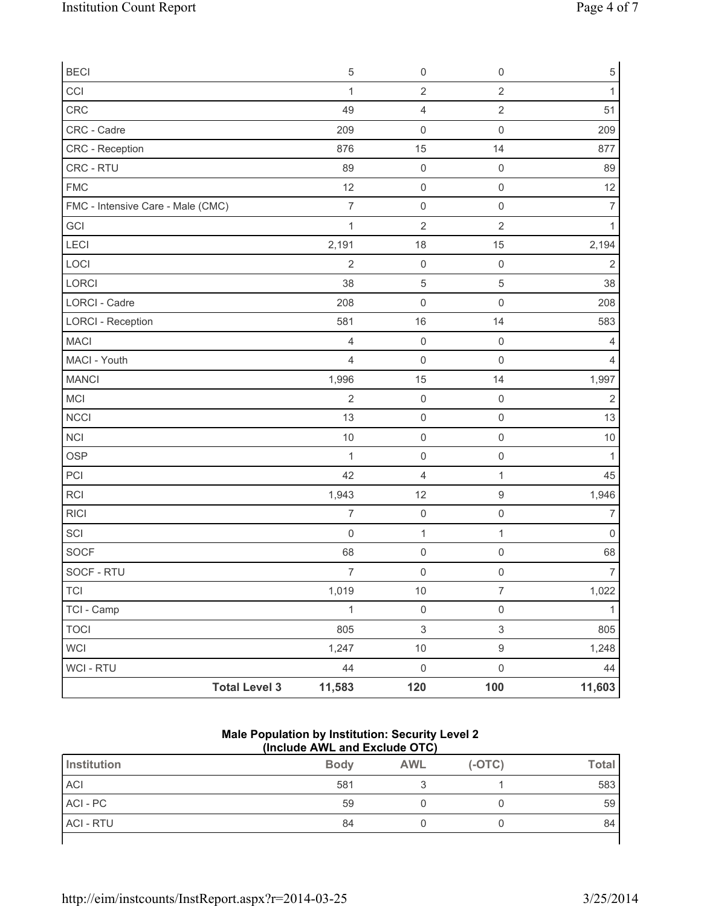| <b>BECI</b>                       |                      | 5                   | $\mathsf 0$             | $\mathbb O$               | 5              |
|-----------------------------------|----------------------|---------------------|-------------------------|---------------------------|----------------|
| CCI                               |                      | $\mathbf 1$         | $\overline{2}$          | $\overline{2}$            | 1              |
| CRC                               |                      | 49                  | $\overline{\mathbf{4}}$ | $\sqrt{2}$                | 51             |
| CRC - Cadre                       |                      | 209                 | $\mathsf 0$             | $\mathsf{O}\xspace$       | 209            |
| CRC - Reception                   |                      | 876                 | 15                      | 14                        | 877            |
| CRC - RTU                         |                      | 89                  | $\mathsf 0$             | $\mathbf 0$               | 89             |
| <b>FMC</b>                        |                      | 12                  | $\mathsf 0$             | $\mathbf 0$               | 12             |
| FMC - Intensive Care - Male (CMC) |                      | $\overline{7}$      | $\mathbf 0$             | $\mathbf 0$               | $\overline{7}$ |
| GCI                               |                      | $\mathbf 1$         | $\mathbf 2$             | $\overline{2}$            | 1              |
| LECI                              |                      | 2,191               | 18                      | 15                        | 2,194          |
| LOCI                              |                      | $\overline{2}$      | $\mathsf 0$             | $\mathsf{O}\xspace$       | $\overline{2}$ |
| LORCI                             |                      | 38                  | $\mathbf 5$             | $\sqrt{5}$                | 38             |
| LORCI - Cadre                     |                      | 208                 | $\mathbf 0$             | $\mathbf 0$               | 208            |
| <b>LORCI - Reception</b>          |                      | 581                 | 16                      | 14                        | 583            |
| <b>MACI</b>                       |                      | 4                   | $\mathsf{O}\xspace$     | $\mathbf 0$               | 4              |
| MACI - Youth                      |                      | 4                   | $\mathbf 0$             | $\mathbf 0$               | 4              |
| <b>MANCI</b>                      |                      | 1,996               | 15                      | 14                        | 1,997          |
| MCI                               |                      | $\overline{2}$      | $\mathsf 0$             | $\mathbf 0$               | $\overline{2}$ |
| <b>NCCI</b>                       |                      | 13                  | $\mathsf 0$             | $\mathsf{O}\xspace$       | 13             |
| NCI                               |                      | 10                  | $\mathsf{O}\xspace$     | $\mathsf{O}\xspace$       | 10             |
| <b>OSP</b>                        |                      | $\mathbf 1$         | $\mathsf{O}\xspace$     | $\mathsf{O}\xspace$       | 1              |
| PCI                               |                      | 42                  | $\overline{4}$          | 1                         | 45             |
| RCI                               |                      | 1,943               | 12                      | $\boldsymbol{9}$          | 1,946          |
| <b>RICI</b>                       |                      | $\overline{7}$      | $\mathsf{O}\xspace$     | $\mathsf{O}\xspace$       | 7              |
| SCI                               |                      | $\mathsf{O}\xspace$ | $\mathbf{1}$            | 1                         | $\pmb{0}$      |
| SOCF                              |                      | 68                  | $\mathsf{O}\xspace$     | $\mathbf 0$               | 68             |
| SOCF - RTU                        |                      | $\boldsymbol{7}$    | $\mathsf{O}\xspace$     | $\mathsf{O}\xspace$       | $\overline{7}$ |
| <b>TCI</b>                        |                      | 1,019               | $10$                    | $\overline{7}$            | 1,022          |
| TCI - Camp                        |                      | $\mathbf 1$         | $\mathsf{O}\xspace$     | $\mathsf{O}\xspace$       | 1              |
| <b>TOCI</b>                       |                      | 805                 | $\mathsf 3$             | $\ensuremath{\mathsf{3}}$ | 805            |
| <b>WCI</b>                        |                      | 1,247               | $10$                    | $\boldsymbol{9}$          | 1,248          |
| WCI - RTU                         |                      | 44                  | $\mathsf 0$             | $\mathbf 0$               | 44             |
|                                   | <b>Total Level 3</b> | 11,583              | 120                     | 100                       | 11,603         |

#### **Male Population by Institution: Security Level 2 (Include AWL and Exclude OTC)**

| Institution      | <b>Body</b> | <b>AWL</b> | $(-OTC)$ | <b>Total</b> |
|------------------|-------------|------------|----------|--------------|
| <b>ACI</b>       | 581         |            |          | 583          |
| ACI - PC         | 59          |            |          | 59           |
| <b>ACI - RTU</b> | 84          |            |          | 84           |
|                  |             |            |          |              |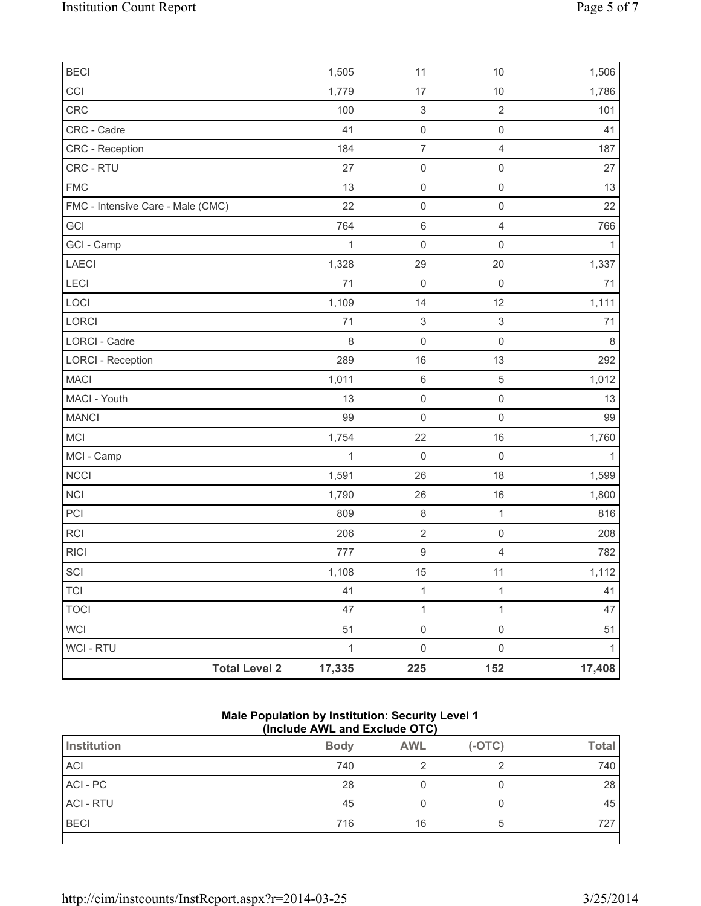| <b>Total Level 2</b>              | 17,335       | 225                       | 152                       | 17,408       |
|-----------------------------------|--------------|---------------------------|---------------------------|--------------|
| WCI - RTU                         | $\mathbf{1}$ | $\mathsf{O}\xspace$       | $\mathsf{O}\xspace$       | $\mathbf{1}$ |
| <b>WCI</b>                        | 51           | $\mathsf 0$               | $\mathsf{O}\xspace$       | 51           |
| <b>TOCI</b>                       | 47           | $\mathbf 1$               | $\mathbf{1}$              | 47           |
| <b>TCI</b>                        | 41           | $\mathbf{1}$              | $\mathbf{1}$              | 41           |
| SCI                               | 1,108        | 15                        | 11                        | 1,112        |
| <b>RICI</b>                       | 777          | $\hbox{9}$                | $\overline{4}$            | 782          |
| RCI                               | 206          | $\sqrt{2}$                | $\mathsf{O}\xspace$       | 208          |
| PCI                               | 809          | $\,8\,$                   | $\mathbf{1}$              | 816          |
| <b>NCI</b>                        | 1,790        | 26                        | 16                        | 1,800        |
| <b>NCCI</b>                       | 1,591        | 26                        | 18                        | 1,599        |
| MCI - Camp                        | $\mathbf{1}$ | $\mathbf 0$               | $\mathsf 0$               | $\mathbf{1}$ |
| MCI                               | 1,754        | 22                        | 16                        | 1,760        |
| <b>MANCI</b>                      | 99           | $\mathsf 0$               | $\mathsf{O}\xspace$       | 99           |
| MACI - Youth                      | 13           | $\mathsf{O}\xspace$       | $\mathsf{O}\xspace$       | 13           |
| <b>MACI</b>                       | 1,011        | $\,6\,$                   | $\sqrt{5}$                | 1,012        |
| <b>LORCI - Reception</b>          | 289          | 16                        | 13                        | 292          |
| <b>LORCI - Cadre</b>              | 8            | $\mathsf 0$               | $\mathsf{O}\xspace$       | 8            |
| LORCI                             | 71           | $\ensuremath{\mathsf{3}}$ | $\ensuremath{\mathsf{3}}$ | 71           |
| LOCI                              | 1,109        | 14                        | 12                        | 1,111        |
| LECI                              | 71           | $\mathbf 0$               | $\mathsf{O}\xspace$       | 71           |
| LAECI                             | 1,328        | 29                        | 20                        | 1,337        |
| GCI - Camp                        | $\mathbf{1}$ | $\mathsf{O}\xspace$       | $\mathsf{O}\xspace$       | $\mathbf{1}$ |
| GCI                               | 764          | $6\,$                     | $\overline{4}$            | 766          |
| FMC - Intensive Care - Male (CMC) | 22           | $\mathsf{O}\xspace$       | $\mathsf{O}\xspace$       | 22           |
| <b>FMC</b>                        | 13           | $\mathsf 0$               | $\mathsf{O}\xspace$       | 13           |
| CRC - RTU                         | 27           | $\mathsf 0$               | $\mathsf{O}\xspace$       | 27           |
| <b>CRC</b> - Reception            | 184          | $\overline{\mathcal{I}}$  | $\overline{4}$            | 187          |
| CRC - Cadre                       | 41           | $\mathsf 0$               | $\mathsf 0$               | 41           |
| CRC                               | 100          | $\ensuremath{\mathsf{3}}$ | $\overline{2}$            | 101          |
| CCI                               | 1,779        | 17                        | $10$                      | 1,786        |
| <b>BECI</b>                       | 1,505        | 11                        | 10                        | 1,506        |

#### **Male Population by Institution: Security Level 1 (Include AWL and Exclude OTC)**

|                  | .           |            |          |              |
|------------------|-------------|------------|----------|--------------|
| Institution      | <b>Body</b> | <b>AWL</b> | $(-OTC)$ | <b>Total</b> |
| ACI              | 740         |            |          | 740          |
| ACI - PC         | 28          |            | U        | 28           |
| <b>ACI - RTU</b> | 45          | ι          |          | 45           |
| <b>BECI</b>      | 716         | 16         | b        | 727          |
|                  |             |            |          |              |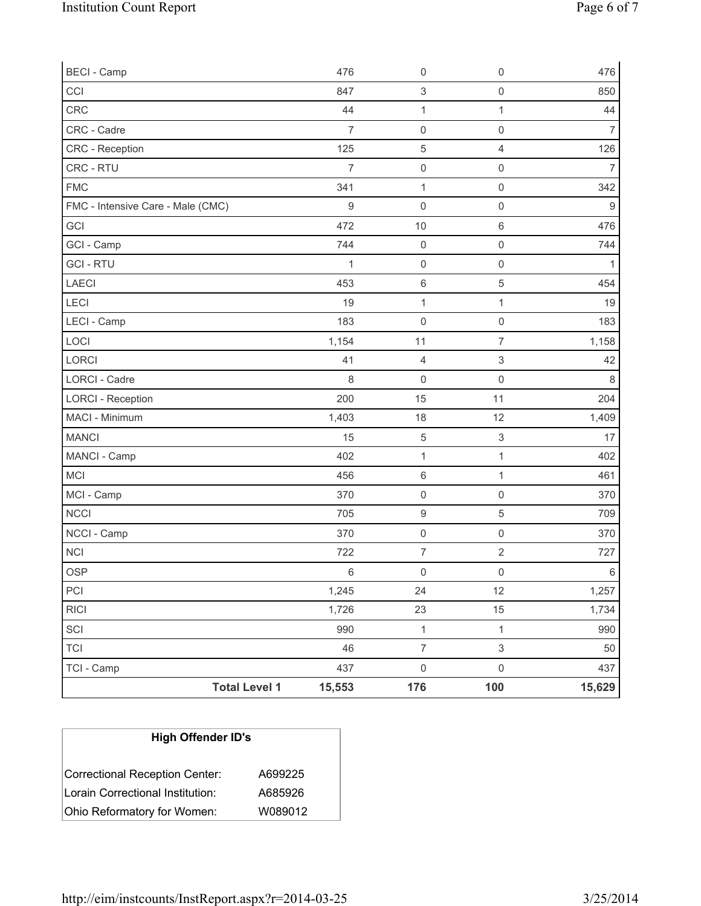| <b>Total Level 1</b>              | 15,553           | 176                 | 100                       | 15,629           |
|-----------------------------------|------------------|---------------------|---------------------------|------------------|
| TCI - Camp                        | 437              | $\mathsf{O}\xspace$ | $\mathsf 0$               | 437              |
| <b>TCI</b>                        | 46               | $\overline{7}$      | $\sqrt{3}$                | 50               |
| SCI                               | 990              | $\mathbf{1}$        | $\mathbf{1}$              | 990              |
| <b>RICI</b>                       | 1,726            | 23                  | 15                        | 1,734            |
| PCI                               | 1,245            | 24                  | 12                        | 1,257            |
| <b>OSP</b>                        | $6\,$            | $\mathsf{O}\xspace$ | $\mathsf 0$               | 6                |
| NCI                               | 722              | $\boldsymbol{7}$    | $\sqrt{2}$                | 727              |
| NCCI - Camp                       | 370              | $\mathsf{O}\xspace$ | $\mathsf{O}\xspace$       | 370              |
| <b>NCCI</b>                       | 705              | $\boldsymbol{9}$    | $\,$ 5 $\,$               | 709              |
| MCI - Camp                        | 370              | $\mathsf{O}\xspace$ | $\mathsf{O}\xspace$       | 370              |
| MCI                               | 456              | $\,6\,$             | 1                         | 461              |
| MANCI - Camp                      | 402              | $\mathbf{1}$        | 1                         | 402              |
| <b>MANCI</b>                      | 15               | $\sqrt{5}$          | $\ensuremath{\mathsf{3}}$ | 17               |
| MACI - Minimum                    | 1,403            | 18                  | 12                        | 1,409            |
| <b>LORCI - Reception</b>          | 200              | 15                  | 11                        | 204              |
| <b>LORCI - Cadre</b>              | 8                | $\mathbf 0$         | $\mathbf 0$               | 8                |
| LORCI                             | 41               | $\overline{4}$      | 3                         | 42               |
| LOCI                              | 1,154            | 11                  | $\overline{7}$            | 1,158            |
| LECI - Camp                       | 183              | $\mathsf{O}\xspace$ | $\mathsf{O}\xspace$       | 183              |
| LECI                              | 19               | $\mathbf{1}$        | $\mathbf{1}$              | 19               |
| LAECI                             | 453              | $\,6$               | 5                         | 454              |
| <b>GCI-RTU</b>                    | 1                | $\mathsf{O}\xspace$ | $\mathbf 0$               | $\mathbf{1}$     |
| GCI - Camp                        | 744              | $\mathsf{O}\xspace$ | $\mathbf 0$               | 744              |
| GCI                               | 472              | 10                  | 6                         | 476              |
| FMC - Intensive Care - Male (CMC) | $\boldsymbol{9}$ | $\mathsf{O}\xspace$ | $\mathsf{O}\xspace$       | $\boldsymbol{9}$ |
| <b>FMC</b>                        | 341              | $\mathbf{1}$        | $\mathsf{O}\xspace$       | 342              |
| CRC - RTU                         | $\overline{7}$   | $\mathsf{O}\xspace$ | $\mathsf 0$               | $\overline{7}$   |
| CRC - Reception                   | 125              | $\mathbf 5$         | $\overline{4}$            | 126              |
| CRC - Cadre                       | $\overline{7}$   | $\mathsf{O}\xspace$ | $\mathsf{O}\xspace$       | 7                |
| CRC                               | 44               | $\mathbf 1$         | $\mathbf{1}$              | 44               |
| CCI                               | 847              | $\mathsf 3$         | $\mathsf{O}\xspace$       | 850              |
| <b>BECI - Camp</b>                | 476              | $\mathsf{O}\xspace$ | $\mathsf{O}\xspace$       | 476              |

| <b>High Offender ID's</b>        |         |  |  |  |
|----------------------------------|---------|--|--|--|
| Correctional Reception Center:   | A699225 |  |  |  |
| Lorain Correctional Institution: | A685926 |  |  |  |
| Ohio Reformatory for Women:      | W089012 |  |  |  |